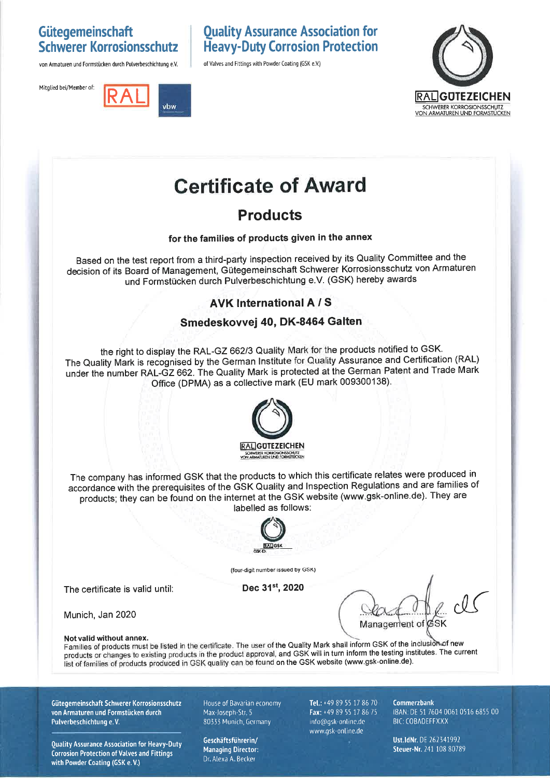## Gütegemeinschaft **Schwerer Korrosionsschutz**

von Armaturen und Formstücken durch Pulverbeschichtung e.V.





## **Ouality Assurance Association for Heavy-Duty Corrosion Protection**

of Valves and Fittings with Powder Coating (GSK e.V.)



# **Certificate of Award**

# **Products**

#### for the families of products given in the annex

Based on the test report from a third-party inspection received by its Quality Committee and the decision of its Board of Management, Gütegemeinschaft Schwerer Korrosionsschutz von Armaturen und Formstücken durch Pulverbeschichtung e.V. (GSK) hereby awards

### **AVK International A/S**

#### Smedeskovvej 40, DK-8464 Galten

the right to display the RAL-GZ 662/3 Quality Mark for the products notified to GSK. The Quality Mark is recognised by the German Institute for Quality Assurance and Certification (RAL) under the number RAL-GZ 662. The Quality Mark is protected at the German Patent and Trade Mark Office (DPMA) as a collective mark (EU mark 009300138).



The company has informed GSK that the products to which this certificate relates were produced in accordance with the prerequisites of the GSK Quality and Inspection Regulations and are families of products; they can be found on the internet at the GSK website (www.gsk-online.de). They are labelled as follows:



(four-digit number issued by GSK)

Dec 31st, 2020

Management of

Munich, Jan 2020

Not valid without annex.

The certificate is valid until:

Families of products must be listed in the certificate. The user of the Quality Mark shall inform GSK of the inclusion of new products or changes to existing products in the product approval, and GSK will in turn inform the testing institutes. The current list of families of products produced in GSK quality can be found on the GSK website (www.gsk-online.de).

Gütegemeinschaft Schwerer Korrosionsschutz von Armaturen und Formstücken durch Pulverbeschichtung e.V.

**Quality Assurance Association for Heavy-Duty Corrosion Protection of Valves and Fittings** with Powder Coating (GSK e.V.)

House of Bavarian economy Max-Joseph-Str. 5 80333 Munich, Germany

Geschäftsführerin/ **Managing Director:** Dr. Alexa A. Becker

Tel.: +49 89 55 17 86 70 Fax: +49 89 55 17 86 75 info@gsk-online.de www.gsk-online.de

Commerzbank IBAN: DE 51 7604 0061 0516 6855 00 **BIC: COBADEFFXXX** 

Ust.IdNr. DE 262341992 Steuer-Nr. 241 108 80789